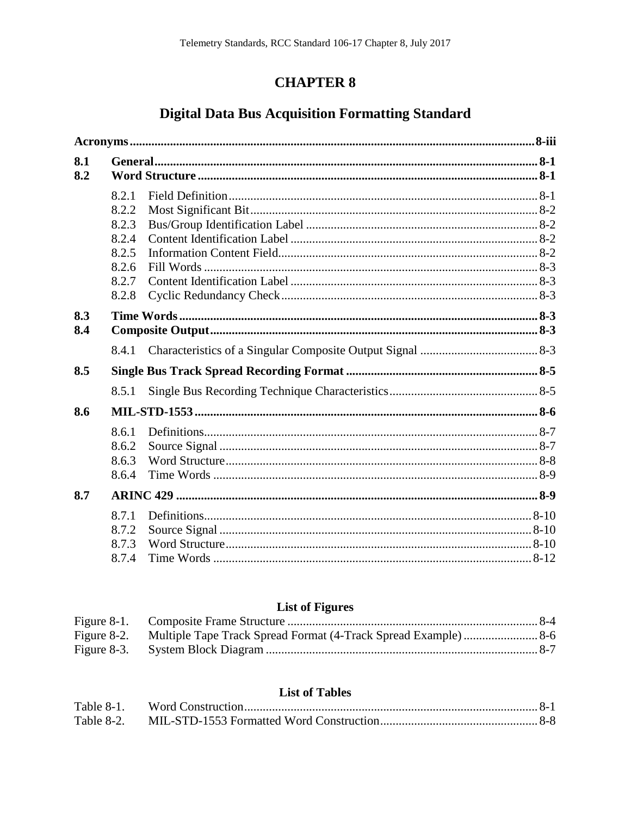# **CHAPTER 8**

# **Digital Data Bus Acquisition Formatting Standard**

| 8.1<br>8.2 |       |  |
|------------|-------|--|
|            | 8.2.1 |  |
|            | 8.2.2 |  |
|            | 8.2.3 |  |
|            | 8.2.4 |  |
|            | 8.2.5 |  |
|            | 8.2.6 |  |
|            | 8.2.7 |  |
|            | 8.2.8 |  |
| 8.3        |       |  |
| 8.4        |       |  |
|            |       |  |
| 8.5        |       |  |
|            | 8.5.1 |  |
| 8.6        |       |  |
|            | 8.6.1 |  |
|            | 8.6.2 |  |
|            | 8.6.3 |  |
|            | 8.6.4 |  |
| 8.7        |       |  |
|            | 8.7.1 |  |
|            | 8.7.2 |  |
|            | 8.7.3 |  |
|            | 8.7.4 |  |

### **List of Figures**

| Figure 8-2. Multiple Tape Track Spread Format (4-Track Spread Example)  8-6 |  |
|-----------------------------------------------------------------------------|--|
|                                                                             |  |

## **List of Tables**

| Table 8-1. |  |
|------------|--|
|            |  |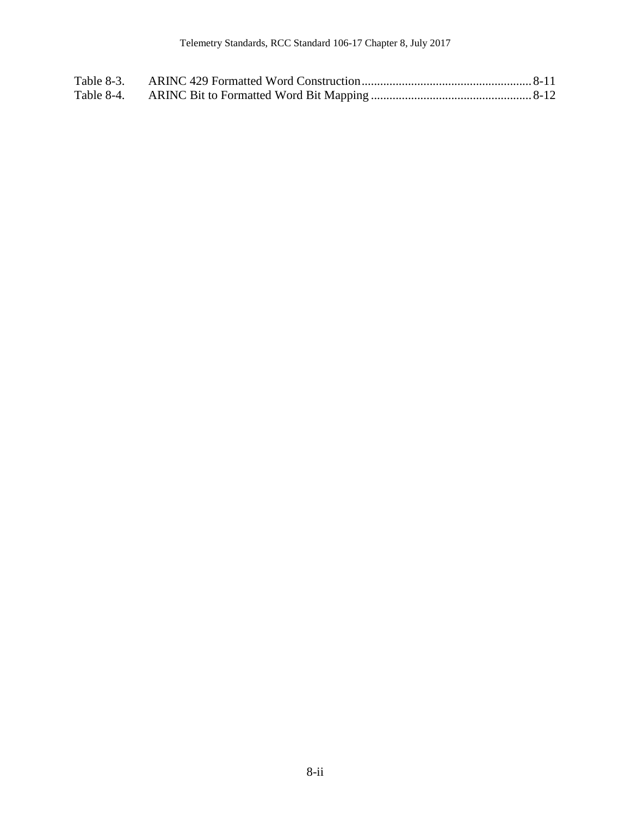| Table 8-3. |  |
|------------|--|
|            |  |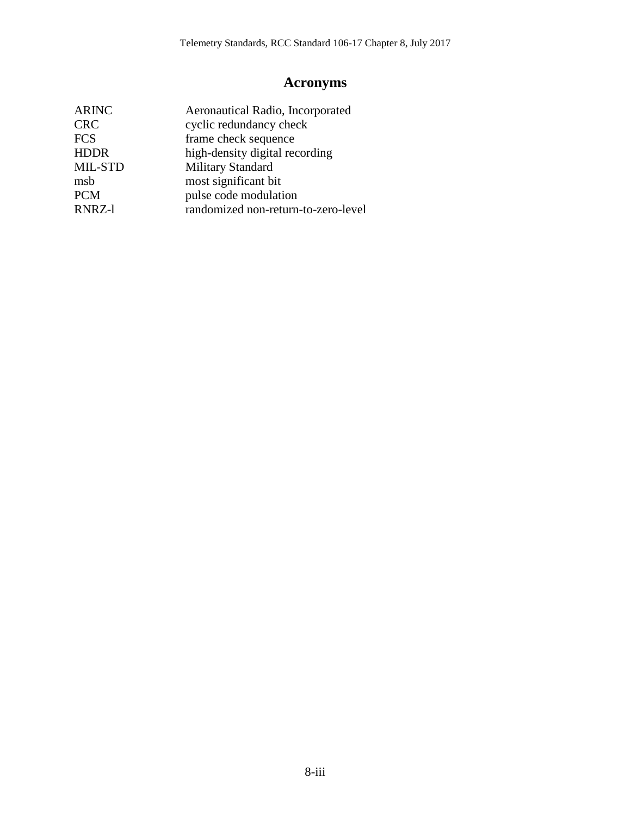# **Acronyms**

<span id="page-2-0"></span>

| randomized non-return-to-zero-level |
|-------------------------------------|
|                                     |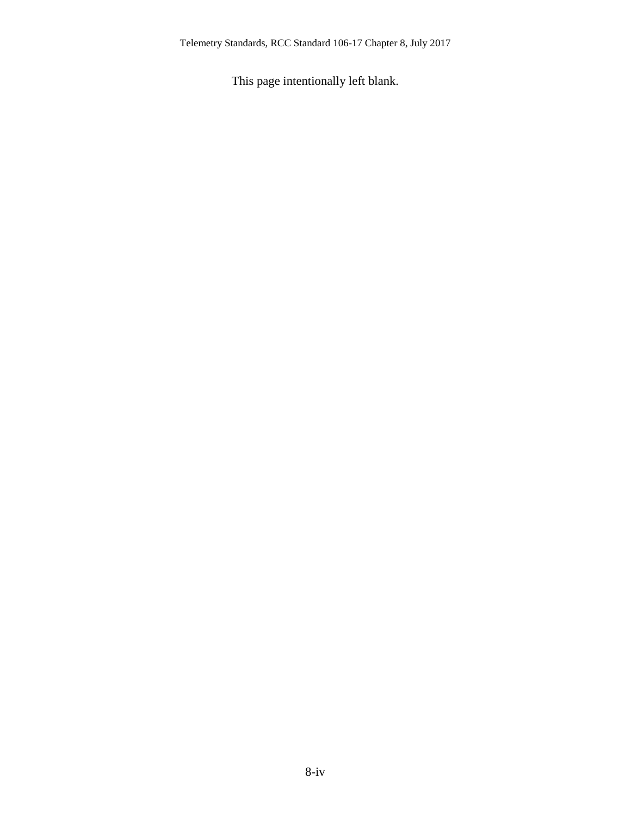This page intentionally left blank.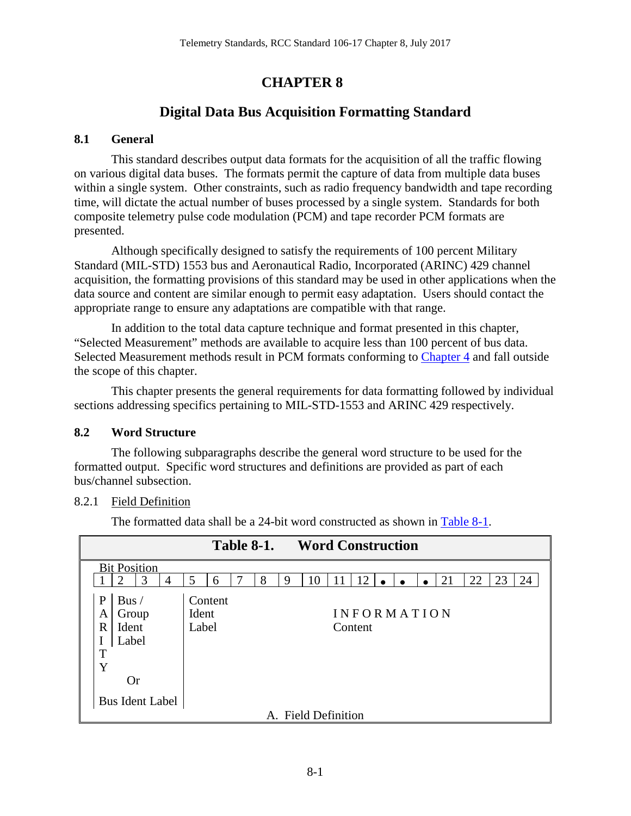## **CHAPTER 8**

## **Digital Data Bus Acquisition Formatting Standard**

#### <span id="page-4-0"></span>**8.1 General**

This standard describes output data formats for the acquisition of all the traffic flowing on various digital data buses. The formats permit the capture of data from multiple data buses within a single system. Other constraints, such as radio frequency bandwidth and tape recording time, will dictate the actual number of buses processed by a single system. Standards for both composite telemetry pulse code modulation (PCM) and tape recorder PCM formats are presented.

Although specifically designed to satisfy the requirements of 100 percent Military Standard (MIL-STD) 1553 bus and Aeronautical Radio, Incorporated (ARINC) 429 channel acquisition, the formatting provisions of this standard may be used in other applications when the data source and content are similar enough to permit easy adaptation. Users should contact the appropriate range to ensure any adaptations are compatible with that range.

In addition to the total data capture technique and format presented in this chapter, "Selected Measurement" methods are available to acquire less than 100 percent of bus data. Selected Measurement methods result in PCM formats conforming to [Chapter 4](http://www.wsmr.army.mil/RCCsite/Documents/106-17_Telemetry_Standards/chapter4.pdf) and fall outside the scope of this chapter.

This chapter presents the general requirements for data formatting followed by individual sections addressing specifics pertaining to MIL-STD-1553 and ARINC 429 respectively.

#### <span id="page-4-1"></span>**8.2 Word Structure**

The following subparagraphs describe the general word structure to be used for the formatted output. Specific word structures and definitions are provided as part of each bus/channel subsection.

#### <span id="page-4-2"></span>8.2.1 Field Definition

The formatted data shall be a 24-bit word constructed as shown in [Table 8-1.](#page-4-3)

<span id="page-4-3"></span>

|                                                                                                 | <b>Table 8-1.</b><br><b>Word Construction</b>              |  |  |  |  |
|-------------------------------------------------------------------------------------------------|------------------------------------------------------------|--|--|--|--|
| <b>Bit Position</b><br>3<br>ി<br>4                                                              | 22<br>23<br>24<br>21<br>5<br>Χ<br>10<br>6                  |  |  |  |  |
| $\mathbf{P}$<br>Bus/<br>Group<br>A<br>$\mathbf R$<br>Ident<br>I<br>Label<br>T<br>Y<br><b>Or</b> | Content<br>Ident<br><b>INFORMATION</b><br>Label<br>Content |  |  |  |  |
| <b>Bus Ident Label</b><br>A. Field Definition                                                   |                                                            |  |  |  |  |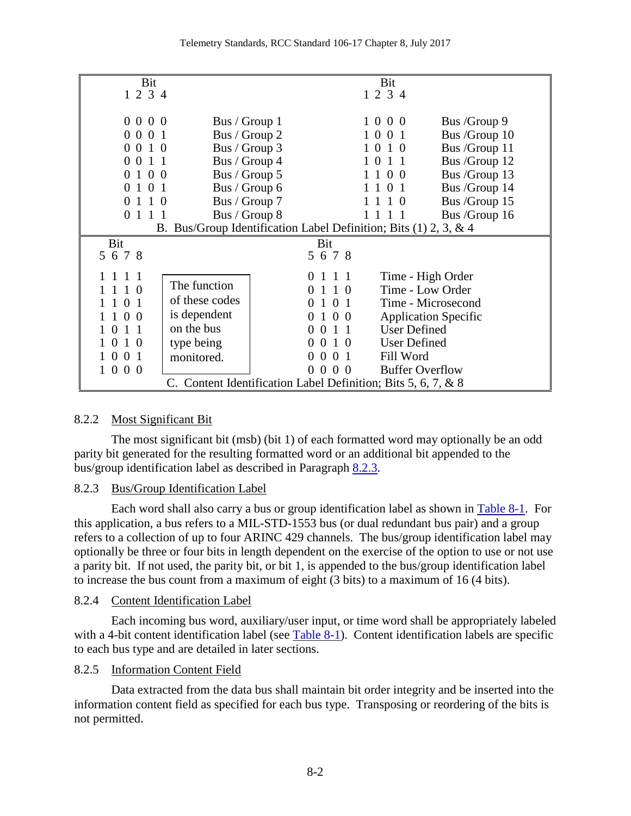| Telemetry Standards, RCC Standard 106-17 Chapter 8, July 2017 |  |
|---------------------------------------------------------------|--|
|---------------------------------------------------------------|--|

| 0000<br>1000<br>Bus / Group 1<br>Bus /Group 9<br>Bus / Group 2<br>$0\,0\,0$<br>Bus /Group 10<br>10<br>$\Omega$<br>Bus / Group 3<br>Bus /Group 11<br>0 <sub>0</sub><br>$1 \Omega$<br>$\Omega$<br>Bus / Group 4<br>Bus /Group 12<br>0 <sub>0</sub><br>$\Omega$<br>Bus /Group 13<br>Bus / Group 5<br>0 1 0 0<br>1 1 0 0<br>Bus / Group 6<br>Bus /Group 14<br>0 <sub>1</sub><br>$\Omega$                                                                                                                                                                                                                                                                                                                                                    |
|-----------------------------------------------------------------------------------------------------------------------------------------------------------------------------------------------------------------------------------------------------------------------------------------------------------------------------------------------------------------------------------------------------------------------------------------------------------------------------------------------------------------------------------------------------------------------------------------------------------------------------------------------------------------------------------------------------------------------------------------|
| Bus / Group 7<br>Bus /Group 15<br>$\overline{1}$<br>$\Omega$<br>$\Omega$<br>$\Omega$<br>Bus / Group 8<br>Bus /Group 16<br>0 1<br>B. Bus/Group Identification Label Definition; Bits (1) 2, 3, & 4                                                                                                                                                                                                                                                                                                                                                                                                                                                                                                                                       |
| Bit<br>Bit<br>5 6 7 8<br>5 6 7 8                                                                                                                                                                                                                                                                                                                                                                                                                                                                                                                                                                                                                                                                                                        |
| Time - High Order<br>$\overline{1}$<br>$\overline{1}$<br>The function<br>Time - Low Order<br>0<br>$\overline{1}$<br>10<br>of these codes<br>$\Omega$<br>$\overline{1}$<br>Time - Microsecond<br>0 <sub>1</sub><br>$\Omega$<br>is dependent<br>0100<br><b>Application Specific</b><br>$\Omega$<br>$\Omega$<br>on the bus<br><b>User Defined</b><br>$\overline{1}$<br>$\overline{0}$<br>$\Omega$<br>$\Omega$<br>0 <sub>0</sub><br><b>User Defined</b><br>type being<br>1 0<br>$\Omega$<br>10<br>Fill Word<br>$\Omega$<br>$\Omega$<br>$\Omega$<br>monitored.<br>$\Omega$<br>$\theta$<br>1 0 0 0<br><b>Buffer Overflow</b><br>$\overline{0}$<br>$\Omega$<br>0 <sub>0</sub><br>C. Content Identification Label Definition; Bits 5, 6, 7, & 8 |

#### <span id="page-5-0"></span>8.2.2 Most Significant Bit

The most significant bit (msb) (bit 1) of each formatted word may optionally be an odd parity bit generated for the resulting formatted word or an additional bit appended to the bus/group identification label as described in Paragraph [8.2.3.](#page-5-1)

#### <span id="page-5-1"></span>8.2.3 Bus/Group Identification Label

Each word shall also carry a bus or group identification label as shown in [Table 8-1.](#page-4-3) For this application, a bus refers to a MIL-STD-1553 bus (or dual redundant bus pair) and a group refers to a collection of up to four ARINC 429 channels. The bus/group identification label may optionally be three or four bits in length dependent on the exercise of the option to use or not use a parity bit. If not used, the parity bit, or bit 1, is appended to the bus/group identification label to increase the bus count from a maximum of eight (3 bits) to a maximum of 16 (4 bits).

#### <span id="page-5-2"></span>8.2.4 Content Identification Label

Each incoming bus word, auxiliary/user input, or time word shall be appropriately labeled with a 4-bit content identification label (see [Table 8-1\)](#page-4-3). Content identification labels are specific to each bus type and are detailed in later sections.

#### <span id="page-5-3"></span>8.2.5 Information Content Field

Data extracted from the data bus shall maintain bit order integrity and be inserted into the information content field as specified for each bus type. Transposing or reordering of the bits is not permitted.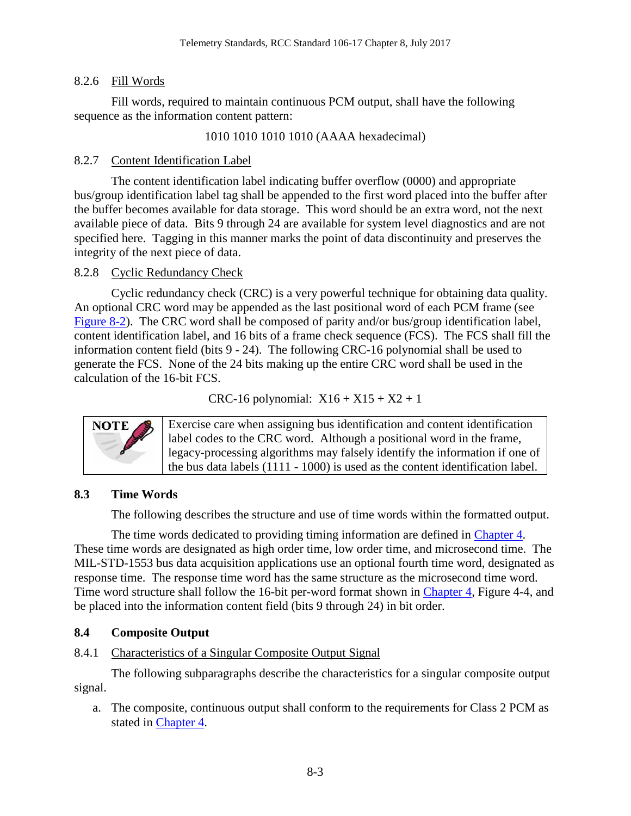### <span id="page-6-0"></span>8.2.6 Fill Words

Fill words, required to maintain continuous PCM output, shall have the following sequence as the information content pattern:

#### 1010 1010 1010 1010 (AAAA hexadecimal)

### <span id="page-6-1"></span>8.2.7 Content Identification Label

The content identification label indicating buffer overflow (0000) and appropriate bus/group identification label tag shall be appended to the first word placed into the buffer after the buffer becomes available for data storage. This word should be an extra word, not the next available piece of data. Bits 9 through 24 are available for system level diagnostics and are not specified here. Tagging in this manner marks the point of data discontinuity and preserves the integrity of the next piece of data.

### <span id="page-6-2"></span>8.2.8 Cyclic Redundancy Check

Cyclic redundancy check (CRC) is a very powerful technique for obtaining data quality. An optional CRC word may be appended as the last positional word of each PCM frame (see [Figure 8-2\)](#page-9-1). The CRC word shall be composed of parity and/or bus/group identification label, content identification label, and 16 bits of a frame check sequence (FCS). The FCS shall fill the information content field (bits 9 - 24). The following CRC-16 polynomial shall be used to generate the FCS. None of the 24 bits making up the entire CRC word shall be used in the calculation of the 16-bit FCS.

CRC-16 polynomial:  $X16 + X15 + X2 + 1$ 



Exercise care when assigning bus identification and content identification label codes to the CRC word. Although a positional word in the frame, legacy-processing algorithms may falsely identify the information if one of the bus data labels (1111 - 1000) is used as the content identification label.

## <span id="page-6-3"></span>**8.3 Time Words**

The following describes the structure and use of time words within the formatted output.

The time words dedicated to providing timing information are defined in [Chapter 4.](http://www.wsmr.army.mil/RCCsite/Documents/106-17_Telemetry_Standards/chapter4.pdf) These time words are designated as high order time, low order time, and microsecond time. The MIL-STD-1553 bus data acquisition applications use an optional fourth time word, designated as response time. The response time word has the same structure as the microsecond time word. Time word structure shall follow the 16-bit per-word format shown in [Chapter 4,](http://www.wsmr.army.mil/RCCsite/Documents/106-17_Telemetry_Standards/chapter4.pdf) Figure 4-4, and be placed into the information content field (bits 9 through 24) in bit order.

## <span id="page-6-4"></span>**8.4 Composite Output**

## <span id="page-6-5"></span>8.4.1 Characteristics of a Singular Composite Output Signal

The following subparagraphs describe the characteristics for a singular composite output signal.

a. The composite, continuous output shall conform to the requirements for Class 2 PCM as stated in [Chapter 4.](http://www.wsmr.army.mil/RCCsite/Documents/106-17_Telemetry_Standards/chapter4.pdf)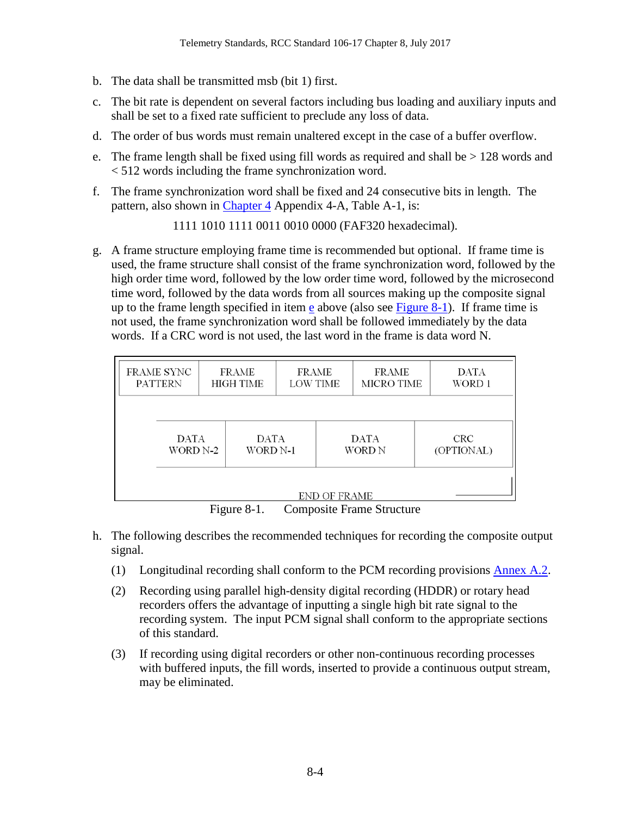- b. The data shall be transmitted msb (bit 1) first.
- c. The bit rate is dependent on several factors including bus loading and auxiliary inputs and shall be set to a fixed rate sufficient to preclude any loss of data.
- d. The order of bus words must remain unaltered except in the case of a buffer overflow.
- <span id="page-7-1"></span>e. The frame length shall be fixed using fill words as required and shall be  $> 128$  words and < 512 words including the frame synchronization word.
- <span id="page-7-2"></span>f. The frame synchronization word shall be fixed and 24 consecutive bits in length. The pattern, also shown in [Chapter 4](http://www.wsmr.army.mil/RCCsite/Documents/106-17_Telemetry_Standards/chapter4.pdf) Appendix 4-A, Table A-1, is:

1111 1010 1111 0011 0010 0000 (FAF320 hexadecimal).

g. A frame structure employing frame time is recommended but optional. If frame time is used, the frame structure shall consist of the frame synchronization word, followed by the high order time word, followed by the low order time word, followed by the microsecond time word, followed by the data words from all sources making up the composite signal up to the frame length specified in item [e](#page-7-1) above (also see [Figure 8-1\)](#page-7-0). If frame time is not used, the frame synchronization word shall be followed immediately by the data words. If a CRC word is not used, the last word in the frame is data word N.



Figure 8-1. Composite Frame Structure

- <span id="page-7-0"></span>h. The following describes the recommended techniques for recording the composite output signal.
	- (1) Longitudinal recording shall conform to the PCM recording provisions [Annex A.2.](http://www.wsmr.army.mil/RCCsite/Documents/106-17_Telemetry_Standards/annexa-2.pdf)
	- (2) Recording using parallel high-density digital recording (HDDR) or rotary head recorders offers the advantage of inputting a single high bit rate signal to the recording system. The input PCM signal shall conform to the appropriate sections of this standard.
	- (3) If recording using digital recorders or other non-continuous recording processes with buffered inputs, the fill words, inserted to provide a continuous output stream, may be eliminated.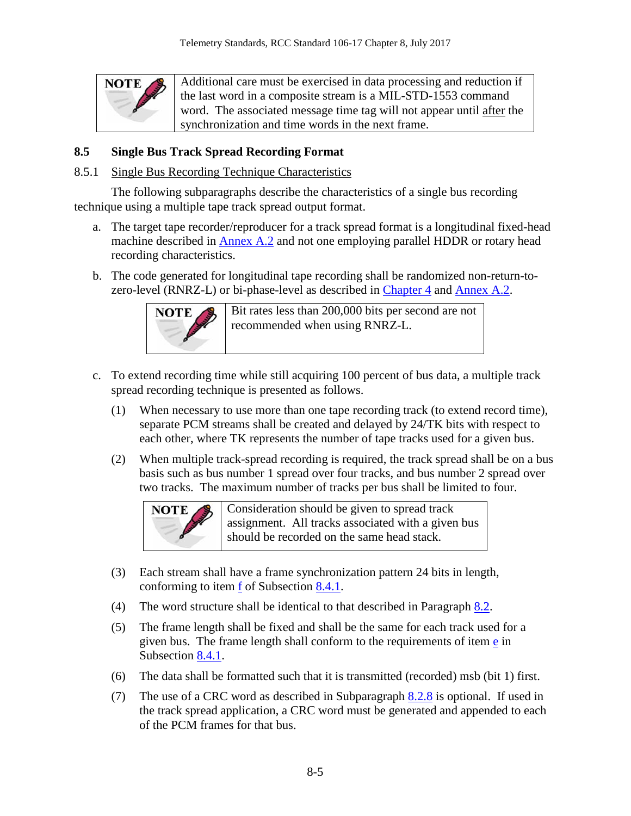

#### <span id="page-8-0"></span>**8.5 Single Bus Track Spread Recording Format**

<span id="page-8-1"></span>8.5.1 Single Bus Recording Technique Characteristics

The following subparagraphs describe the characteristics of a single bus recording technique using a multiple tape track spread output format.

- a. The target tape recorder/reproducer for a track spread format is a longitudinal fixed-head machine described in [Annex A.2](http://www.wsmr.army.mil/RCCsite/Documents/106-17_Telemetry_Standards/annexa-2.pdf) and not one employing parallel HDDR or rotary head recording characteristics.
- b. The code generated for longitudinal tape recording shall be randomized non-return-to-zero-level (RNRZ-L) or bi-phase-level as described in [Chapter 4](http://www.wsmr.army.mil/RCCsite/Documents/106-17_Telemetry_Standards/chapter4.pdf) and [Annex A.2.](http://www.wsmr.army.mil/RCCsite/Documents/106-17_Telemetry_Standards/annexa-2.pdf)



Bit rates less than 200,000 bits per second are not recommended when using RNRZ-L.

- c. To extend recording time while still acquiring 100 percent of bus data, a multiple track spread recording technique is presented as follows.
	- (1) When necessary to use more than one tape recording track (to extend record time), separate PCM streams shall be created and delayed by 24/TK bits with respect to each other, where TK represents the number of tape tracks used for a given bus.
	- (2) When multiple track-spread recording is required, the track spread shall be on a bus basis such as bus number 1 spread over four tracks, and bus number 2 spread over two tracks. The maximum number of tracks per bus shall be limited to four.



- (3) Each stream shall have a frame synchronization pattern 24 bits in length, conforming to item [f](#page-7-2) of Subsection [8.4.1.](#page-6-5)
- (4) The word structure shall be identical to that described in Paragraph [8.2.](#page-4-1)
- (5) The frame length shall be fixed and shall be the same for each track used for a given bus. The frame length shall conform to the requirements of item  $e$  in Subsection [8.4.1.](#page-6-5)
- (6) The data shall be formatted such that it is transmitted (recorded) msb (bit 1) first.
- (7) The use of a CRC word as described in Subparagraph [8.2.8](#page-6-2) is optional. If used in the track spread application, a CRC word must be generated and appended to each of the PCM frames for that bus.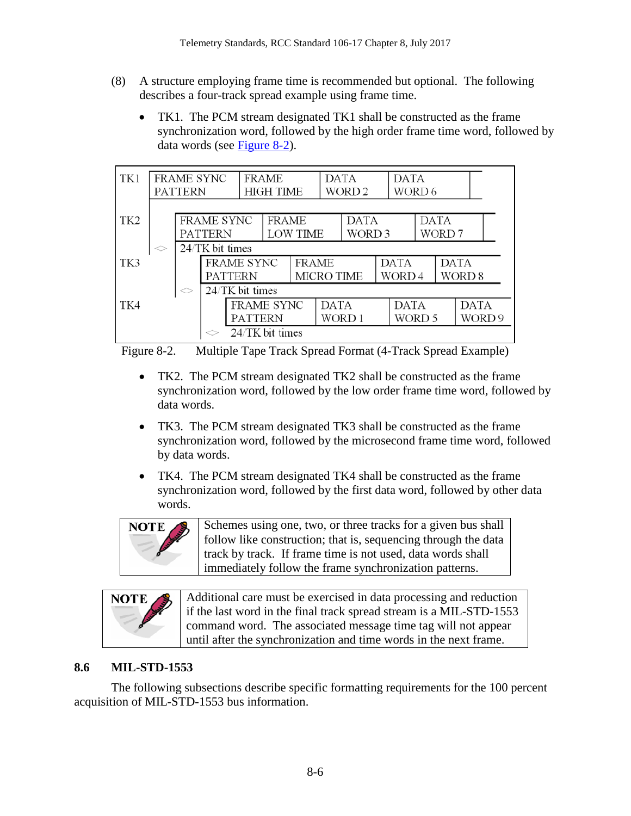- (8) A structure employing frame time is recommended but optional. The following describes a four-track spread example using frame time.
	- TK1. The PCM stream designated TK1 shall be constructed as the frame synchronization word, followed by the high order frame time word, followed by data words (see [Figure 8-2\)](#page-9-1).

| TK1             | <b>FRAME SYNC</b><br><b>PATTERN</b> |           | <b>FRAME</b><br>HIGH TIME |                          | DATA<br>WORD 2    |             | DATA<br>WORD 6                   |  |                       |                   |  |             |             |  |
|-----------------|-------------------------------------|-----------|---------------------------|--------------------------|-------------------|-------------|----------------------------------|--|-----------------------|-------------------|--|-------------|-------------|--|
| TK <sub>2</sub> | <b>FRAME SYNC</b><br><b>PATTERN</b> |           |                           | <b>FRAME</b><br>LOW TIME |                   |             | <b>DATA</b><br>WORD <sub>3</sub> |  | <b>DATA</b><br>WORD 7 |                   |  |             |             |  |
|                 | $\scriptstyle\mathtt{<}$            |           | 24/TK bit times           |                          |                   |             |                                  |  |                       |                   |  |             |             |  |
| TK3             |                                     |           |                           |                          | <b>FRAME SYNC</b> |             | <b>FRAME</b>                     |  |                       | <b>DATA</b>       |  |             | <b>DATA</b> |  |
|                 |                                     |           | PATTERN                   |                          |                   |             | <b>MICRO TIME</b>                |  | WORD <sub>4</sub>     | WORD <sub>8</sub> |  |             |             |  |
|                 |                                     | $\rm\sim$ |                           | 24/TK bit times          |                   |             |                                  |  |                       |                   |  |             |             |  |
| TK4             |                                     |           |                           | <b>FRAME SYNC</b>        |                   | <b>DATA</b> |                                  |  | <b>DATA</b>           |                   |  | <b>DATA</b> |             |  |
|                 |                                     |           | <b>PATTERN</b>            |                          |                   |             | WORD 1                           |  | WORD 5                |                   |  | WORD 9      |             |  |
|                 |                                     |           |                           |                          | 24/TK bit times   |             |                                  |  |                       |                   |  |             |             |  |

<span id="page-9-1"></span>

- TK2. The PCM stream designated TK2 shall be constructed as the frame synchronization word, followed by the low order frame time word, followed by data words.
- TK3. The PCM stream designated TK3 shall be constructed as the frame synchronization word, followed by the microsecond frame time word, followed by data words.
- TK4. The PCM stream designated TK4 shall be constructed as the frame synchronization word, followed by the first data word, followed by other data words.



Schemes using one, two, or three tracks for a given bus shall follow like construction; that is, sequencing through the data track by track. If frame time is not used, data words shall immediately follow the frame synchronization patterns.

Additional care must be exercised in data processing and reduction if the last word in the final track spread stream is a MIL-STD-1553 command word. The associated message time tag will not appear until after the synchronization and time words in the next frame.

#### <span id="page-9-0"></span>**8.6 MIL-STD-1553**

**NOTE** 

The following subsections describe specific formatting requirements for the 100 percent acquisition of MIL-STD-1553 bus information.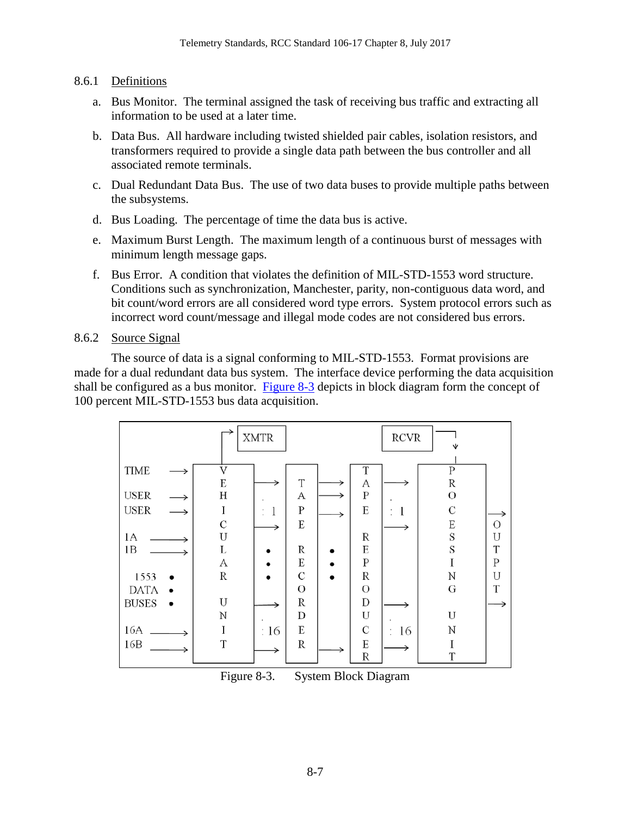#### <span id="page-10-0"></span>8.6.1 Definitions

- a. Bus Monitor. The terminal assigned the task of receiving bus traffic and extracting all information to be used at a later time.
- b. Data Bus. All hardware including twisted shielded pair cables, isolation resistors, and transformers required to provide a single data path between the bus controller and all associated remote terminals.
- c. Dual Redundant Data Bus. The use of two data buses to provide multiple paths between the subsystems.
- d. Bus Loading. The percentage of time the data bus is active.
- e. Maximum Burst Length. The maximum length of a continuous burst of messages with minimum length message gaps.
- <span id="page-10-3"></span>f. Bus Error. A condition that violates the definition of MIL-STD-1553 word structure. Conditions such as synchronization, Manchester, parity, non-contiguous data word, and bit count/word errors are all considered word type errors. System protocol errors such as incorrect word count/message and illegal mode codes are not considered bus errors.

#### <span id="page-10-1"></span>8.6.2 Source Signal

The source of data is a signal conforming to MIL-STD-1553. Format provisions are made for a dual redundant data bus system. The interface device performing the data acquisition shall be configured as a bus monitor. [Figure 8-3](#page-10-2) depicts in block diagram form the concept of 100 percent MIL-STD-1553 bus data acquisition.

|                          |           | <b>XMTR</b>            |             |   |             | <b>RCVR</b> | Ψ             |   |
|--------------------------|-----------|------------------------|-------------|---|-------------|-------------|---------------|---|
| <b>TIME</b>              | $\bar{V}$ |                        |             |   | T           |             | P             |   |
|                          | E         | →                      | T           | → | А           | →           | R             |   |
| <b>USER</b>              | Η         |                        | А           | → | ${\bf P}$   |             | O             |   |
| <b>USER</b>              | I         | l<br>٠<br>$\mathbf{r}$ | $\mathbf P$ |   | E           |             | $\mathcal{C}$ |   |
|                          | C         | →                      | E           |   |             | →           | ${\bf E}$     | О |
| 1A                       | U         |                        |             |   | R           |             | $\rm S$       | U |
| 1B                       | L         |                        | R           |   | E           |             | S             | T |
|                          | А         |                        | E           |   | ${\bf P}$   |             |               | Ρ |
| 1553                     | R         |                        | C           |   | R           |             | N             | U |
| <b>DATA</b><br>$\bullet$ |           |                        | $\Omega$    |   | O           |             | $\mathbf G$   | T |
| <b>BUSES</b>             | U         |                        | R           |   | D           |             |               |   |
|                          | N         |                        | D           |   | U           |             | U             |   |
| 16A<br>↘                 |           | 16<br>÷                | E           |   | $\mathbf C$ | 16          | N             |   |
| 16B                      | T         |                        | R           |   | E           |             | I             |   |
|                          |           |                        |             |   | $\mathbb R$ |             | T             |   |

<span id="page-10-2"></span>Figure 8-3. System Block Diagram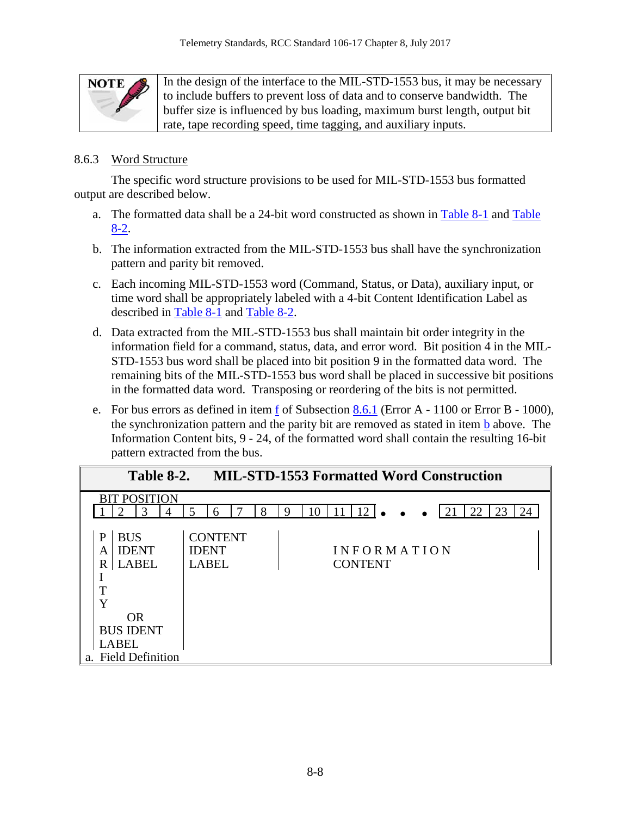

In the design of the interface to the MIL-STD-1553 bus, it may be necessary to include buffers to prevent loss of data and to conserve bandwidth. The buffer size is influenced by bus loading, maximum burst length, output bit rate, tape recording speed, time tagging, and auxiliary inputs.

#### <span id="page-11-0"></span>8.6.3 Word Structure

The specific word structure provisions to be used for MIL-STD-1553 bus formatted output are described below.

- a. The formatted data shall be a 24-bit word constructed as shown in [Table 8-1](#page-4-3) and Table [8-2.](#page-11-1)
- <span id="page-11-2"></span>b. The information extracted from the MIL-STD-1553 bus shall have the synchronization pattern and parity bit removed.
- c. Each incoming MIL-STD-1553 word (Command, Status, or Data), auxiliary input, or time word shall be appropriately labeled with a 4-bit Content Identification Label as described in [Table 8-1](#page-4-3) and [Table 8-2.](#page-11-1)
- d. Data extracted from the MIL-STD-1553 bus shall maintain bit order integrity in the information field for a command, status, data, and error word. Bit position 4 in the MIL-STD-1553 bus word shall be placed into bit position 9 in the formatted data word. The remaining bits of the MIL-STD-1553 bus word shall be placed in successive bit positions in the formatted data word. Transposing or reordering of the bits is not permitted.
- e. For bus errors as defined in item [f](#page-10-3) of Subsection [8.6.1](#page-10-0) (Error A 1100 or Error B 1000), the synchronization pattern and the parity [b](#page-11-2)it are removed as stated in item  $\frac{b}{c}$  above. The Information Content bits, 9 - 24, of the formatted word shall contain the resulting 16-bit pattern extracted from the bus.

<span id="page-11-1"></span>

| <b>Table 8-2.</b><br><b>MIL-STD-1553 Formatted Word Construction</b>                                              |                                                                                        |  |  |  |  |  |  |
|-------------------------------------------------------------------------------------------------------------------|----------------------------------------------------------------------------------------|--|--|--|--|--|--|
| <b>BIT POSITION</b>                                                                                               |                                                                                        |  |  |  |  |  |  |
| 4                                                                                                                 | $\mathcal{D}$<br>12<br>23<br>24<br>6                                                   |  |  |  |  |  |  |
| P<br><b>BUS</b><br><b>IDENT</b><br>A<br>LABEL<br>$\mathbf R$<br>T<br>Y<br>OR.<br><b>BUS IDENT</b><br><b>LABEL</b> | <b>CONTENT</b><br><b>IDENT</b><br><b>INFORMATION</b><br><b>LABEL</b><br><b>CONTENT</b> |  |  |  |  |  |  |
| <b>Field Definition</b><br>a.                                                                                     |                                                                                        |  |  |  |  |  |  |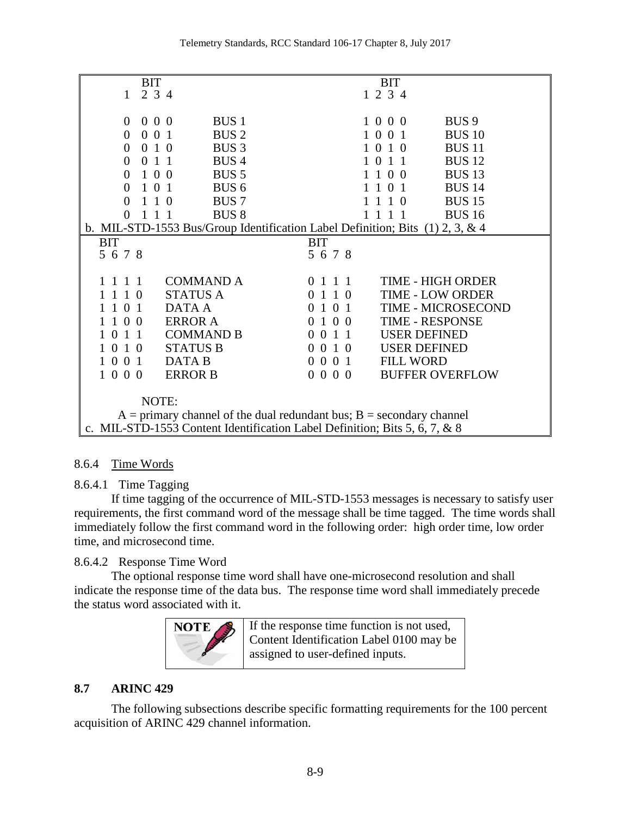| <b>BIT</b>                                                                    | <b>BIT</b>                                                               |
|-------------------------------------------------------------------------------|--------------------------------------------------------------------------|
| 2 3 4<br>$\mathbf{1}$                                                         | 1 2 3 4                                                                  |
|                                                                               |                                                                          |
| $0\,0\,0$<br>BUS <sub>1</sub><br>$\overline{0}$                               | 1 0 0 0<br>BUS <sub>9</sub>                                              |
| $\overline{0}$<br>$0\;0\;1$<br>BUS <sub>2</sub>                               | 1 0 0 1<br><b>BUS 10</b>                                                 |
| $\overline{0}$<br>010<br>BUS <sub>3</sub>                                     | <b>BUS 11</b><br>$1\;0\;1\;0$                                            |
| $\overline{0}$<br>011<br>BUS <sub>4</sub>                                     | 1 0 1 1<br><b>BUS 12</b>                                                 |
| $\overline{0}$<br>1 0 0<br>BUS <sub>5</sub>                                   | 1 1 0 0<br><b>BUS 13</b>                                                 |
| $\overline{0}$<br>1 0 1<br>BUS <sub>6</sub>                                   | 1 1 0 1<br><b>BUS 14</b>                                                 |
| $\overline{0}$<br>BUS <sub>7</sub><br>1 0<br>$\mathbf{1}$                     | <b>BUS 15</b><br>1<br>$1\;1\;0$                                          |
| $\overline{0}$<br>BUS <sub>8</sub><br>$1 \; 1 \; 1$                           | <b>BUS 16</b><br>1111                                                    |
| b. MIL-STD-1553 Bus/Group Identification Label Definition; Bits (1) 2, 3, & 4 |                                                                          |
| <b>BIT</b>                                                                    | <b>BIT</b>                                                               |
| 5 6 7 8                                                                       | 5 6 7 8                                                                  |
|                                                                               |                                                                          |
| 1 1 1 1<br><b>COMMAND A</b>                                                   | 0111<br><b>TIME - HIGH ORDER</b>                                         |
| 1 1 0<br><b>STATUS A</b>                                                      | 0110<br><b>TIME - LOW ORDER</b>                                          |
| 1 0 1<br><b>DATA A</b>                                                        | 0101<br>TIME - MICROSECOND                                               |
| 1 1 0 0<br><b>ERROR A</b>                                                     | 0100<br>TIME - RESPONSE                                                  |
| 1 0 1 1<br><b>COMMAND B</b>                                                   | $0 \t0 \t1 \t1$<br><b>USER DEFINED</b>                                   |
| 1010<br><b>STATUS B</b>                                                       | 0 0 1 0<br><b>USER DEFINED</b>                                           |
| 1 0 0 1<br>DATA B                                                             | 0 0 0 1<br><b>FILL WORD</b>                                              |
| 1000<br><b>ERROR B</b>                                                        | $0\; 0\; 0\; 0$<br><b>BUFFER OVERFLOW</b>                                |
|                                                                               |                                                                          |
| NOTE:                                                                         |                                                                          |
|                                                                               | $A =$ primary channel of the dual redundant bus; $B =$ secondary channel |
| c. MIL-STD-1553 Content Identification Label Definition; Bits 5, 6, 7, & 8    |                                                                          |

#### <span id="page-12-0"></span>8.6.4 Time Words

#### 8.6.4.1 Time Tagging

If time tagging of the occurrence of MIL-STD-1553 messages is necessary to satisfy user requirements, the first command word of the message shall be time tagged. The time words shall immediately follow the first command word in the following order: high order time, low order time, and microsecond time.

#### 8.6.4.2 Response Time Word

The optional response time word shall have one-microsecond resolution and shall indicate the response time of the data bus. The response time word shall immediately precede the status word associated with it.



#### <span id="page-12-1"></span>**8.7 ARINC 429**

The following subsections describe specific formatting requirements for the 100 percent acquisition of ARINC 429 channel information.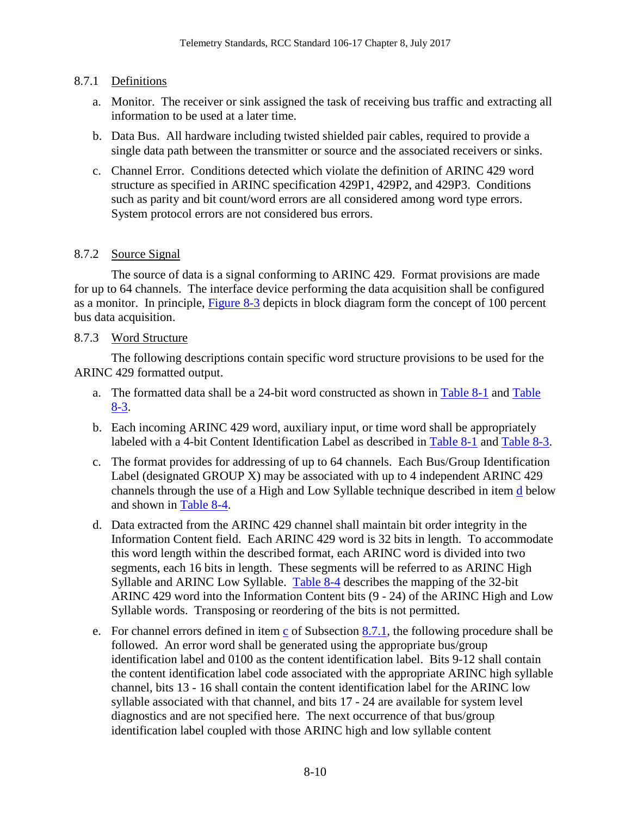#### <span id="page-13-0"></span>8.7.1 Definitions

- a. Monitor. The receiver or sink assigned the task of receiving bus traffic and extracting all information to be used at a later time.
- b. Data Bus. All hardware including twisted shielded pair cables, required to provide a single data path between the transmitter or source and the associated receivers or sinks.
- <span id="page-13-4"></span>c. Channel Error. Conditions detected which violate the definition of ARINC 429 word structure as specified in ARINC specification 429P1, 429P2, and 429P3. Conditions such as parity and bit count/word errors are all considered among word type errors. System protocol errors are not considered bus errors.

### <span id="page-13-1"></span>8.7.2 Source Signal

The source of data is a signal conforming to ARINC 429. Format provisions are made for up to 64 channels. The interface device performing the data acquisition shall be configured as a monitor. In principle, [Figure 8-3](#page-10-2) depicts in block diagram form the concept of 100 percent bus data acquisition.

### <span id="page-13-2"></span>8.7.3 Word Structure

The following descriptions contain specific word structure provisions to be used for the ARINC 429 formatted output.

- a. The formatted data shall be a 24-bit word constructed as shown in [Table 8-1](#page-4-3) and [Table](#page-14-0)  [8-3.](#page-14-0)
- b. Each incoming ARINC 429 word, auxiliary input, or time word shall be appropriately labeled with a 4-bit Content Identification Label as described in [Table 8-1](#page-4-3) and [Table 8-3.](#page-14-0)
- c. The format provides for addressing of up to 64 channels. Each Bus/Group Identification Label (designated GROUP X) may be associated with up to 4 independent ARINC 429 channels through the use of a High and Low Syllable technique [d](#page-13-3)escribed in item  $\frac{d}{d}$  below and shown in [Table 8-4.](#page-15-1)
- <span id="page-13-3"></span>d. Data extracted from the ARINC 429 channel shall maintain bit order integrity in the Information Content field. Each ARINC 429 word is 32 bits in length. To accommodate this word length within the described format, each ARINC word is divided into two segments, each 16 bits in length. These segments will be referred to as ARINC High Syllable and ARINC Low Syllable. [Table 8-4](#page-15-1) describes the mapping of the 32-bit ARINC 429 word into the Information Content bits (9 - 24) of the ARINC High and Low Syllable words. Transposing or reordering of the bits is not permitted.
- e. For [c](#page-13-4)hannel errors defined in item  $\frac{c}{c}$  of Subsection [8.7.1,](#page-13-0) the following procedure shall be followed. An error word shall be generated using the appropriate bus/group identification label and 0100 as the content identification label. Bits 9-12 shall contain the content identification label code associated with the appropriate ARINC high syllable channel, bits 13 - 16 shall contain the content identification label for the ARINC low syllable associated with that channel, and bits 17 - 24 are available for system level diagnostics and are not specified here. The next occurrence of that bus/group identification label coupled with those ARINC high and low syllable content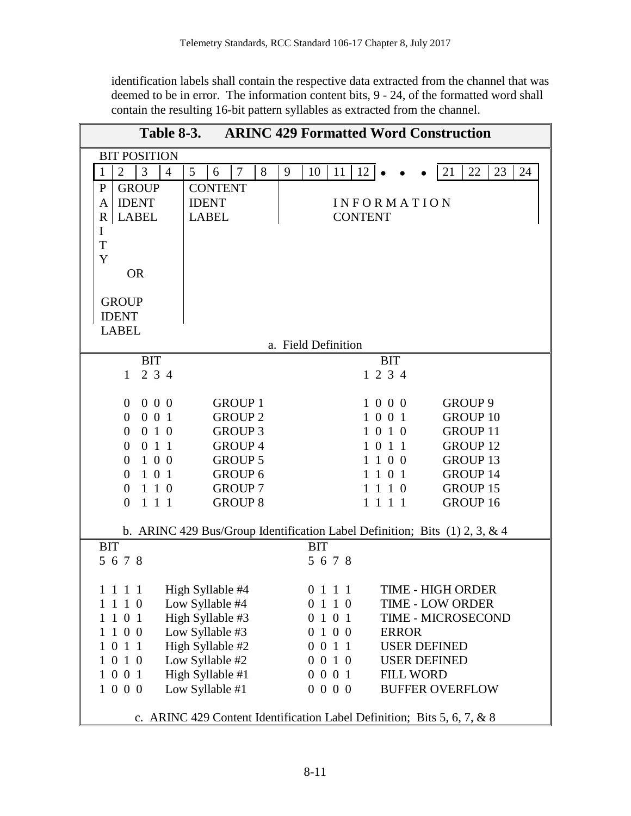identification labels shall contain the respective data extracted from the channel that was deemed to be in error. The information content bits, 9 - 24, of the formatted word shall contain the resulting 16-bit pattern syllables as extracted from the channel.

<span id="page-14-0"></span>

| Table 8-3. ARINC 429 Formatted Word Construction                           |                             |                                |                                   |                    |                        |  |
|----------------------------------------------------------------------------|-----------------------------|--------------------------------|-----------------------------------|--------------------|------------------------|--|
| <b>BIT POSITION</b>                                                        |                             |                                |                                   |                    |                        |  |
| $\overline{3}$<br>5<br>$\overline{2}$<br>$\overline{4}$<br>1               | $\overline{7}$<br>8<br>6    | 9<br>10<br>11                  | 12                                |                    | 21<br>22<br>23<br>24   |  |
| <b>GROUP</b><br>$\mathbf{P}$                                               | <b>CONTENT</b>              |                                |                                   |                    |                        |  |
| <b>IDENT</b><br><b>IDENT</b><br>A                                          |                             |                                |                                   | <b>INFORMATION</b> |                        |  |
| R LABEL                                                                    | <b>LABEL</b>                |                                | <b>CONTENT</b>                    |                    |                        |  |
| I                                                                          |                             |                                |                                   |                    |                        |  |
| $\mathbf T$                                                                |                             |                                |                                   |                    |                        |  |
| Y                                                                          |                             |                                |                                   |                    |                        |  |
| <b>OR</b>                                                                  |                             |                                |                                   |                    |                        |  |
|                                                                            |                             |                                |                                   |                    |                        |  |
| <b>GROUP</b>                                                               |                             |                                |                                   |                    |                        |  |
| <b>IDENT</b>                                                               |                             |                                |                                   |                    |                        |  |
| <b>LABEL</b>                                                               |                             |                                |                                   |                    |                        |  |
| a. Field Definition                                                        |                             |                                |                                   |                    |                        |  |
| <b>BIT</b><br>2 3 4<br>$\mathbf{1}$                                        |                             |                                |                                   | <b>BIT</b><br>1234 |                        |  |
|                                                                            |                             |                                |                                   |                    |                        |  |
| $0\ 0\ 0$<br>$\overline{0}$                                                | <b>GROUP 1</b>              |                                |                                   | 1000               | GROUP <sub>9</sub>     |  |
| $0\ 0\ 1$<br>$\overline{0}$                                                | <b>GROUP 2</b>              |                                |                                   | 1 0 0 1            | <b>GROUP 10</b>        |  |
| 010<br>$\overline{0}$                                                      | <b>GROUP 3</b>              |                                |                                   | 1010               | <b>GROUP 11</b>        |  |
| 011<br>$\theta$                                                            | <b>GROUP 4</b>              |                                |                                   | 1 0 1 1            | <b>GROUP 12</b>        |  |
| $1\ 0\ 0$<br>$\theta$                                                      | <b>GROUP 5</b>              |                                |                                   | 1 1 0 0            | <b>GROUP 13</b>        |  |
| $1 \t0 \t1$<br>$\overline{0}$                                              | <b>GROUP 6</b>              |                                |                                   | 1 1 0 1            | <b>GROUP 14</b>        |  |
| $1\quad1\quad0$<br>$\overline{0}$                                          | <b>GROUP 7</b>              |                                |                                   | 1110               | <b>GROUP 15</b>        |  |
| 1 1 1<br>$\theta$                                                          | <b>GROUP 8</b>              |                                |                                   | 1 1 1 1            | <b>GROUP 16</b>        |  |
|                                                                            |                             |                                |                                   |                    |                        |  |
| b. ARINC 429 Bus/Group Identification Label Definition; Bits (1) 2, 3, & 4 |                             |                                |                                   |                    |                        |  |
| <b>BIT</b>                                                                 |                             | <b>BIT</b>                     |                                   |                    |                        |  |
| 5 6 7 8                                                                    |                             | 5 6 7 8                        |                                   |                    |                        |  |
| High Syllable #4<br>1 1 1 1                                                |                             | 0111                           |                                   |                    | TIME - HIGH ORDER      |  |
| Low Syllable #4<br>1 1 1 0                                                 |                             | 0110                           |                                   |                    | TIME - LOW ORDER       |  |
|                                                                            | 1 1 0 1<br>High Syllable #3 |                                | 0101<br><b>TIME - MICROSECOND</b> |                    |                        |  |
| Low Syllable #3<br>0100<br>1 1 0 0                                         |                             |                                |                                   | <b>ERROR</b>       |                        |  |
| High Syllable #2<br>1 0 1 1                                                |                             | 0 0 1 1<br><b>USER DEFINED</b> |                                   |                    |                        |  |
| 1 0 1 0<br>Low Syllable #2                                                 |                             |                                | 0 0 1 0<br><b>USER DEFINED</b>    |                    |                        |  |
| 1 0 0 1<br>High Syllable #1                                                |                             |                                | 0 0 0 1<br><b>FILL WORD</b>       |                    |                        |  |
| 1 0 0 0<br>Low Syllable #1                                                 |                             | 0000                           |                                   |                    | <b>BUFFER OVERFLOW</b> |  |
|                                                                            |                             |                                |                                   |                    |                        |  |
| c. ARINC 429 Content Identification Label Definition; Bits 5, 6, 7, & 8    |                             |                                |                                   |                    |                        |  |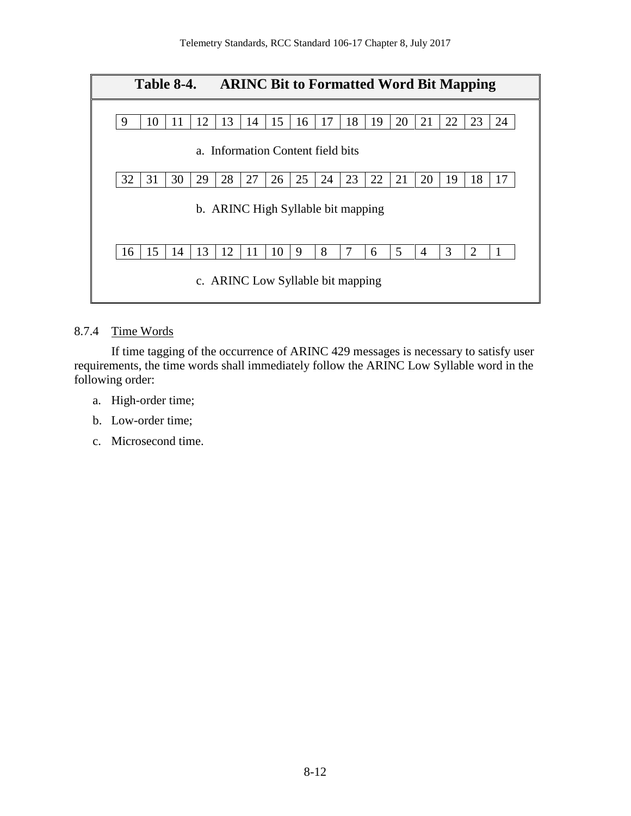<span id="page-15-1"></span>

### <span id="page-15-0"></span>8.7.4 Time Words

If time tagging of the occurrence of ARINC 429 messages is necessary to satisfy user requirements, the time words shall immediately follow the ARINC Low Syllable word in the following order:

- a. High-order time;
- b. Low-order time;
- c. Microsecond time.